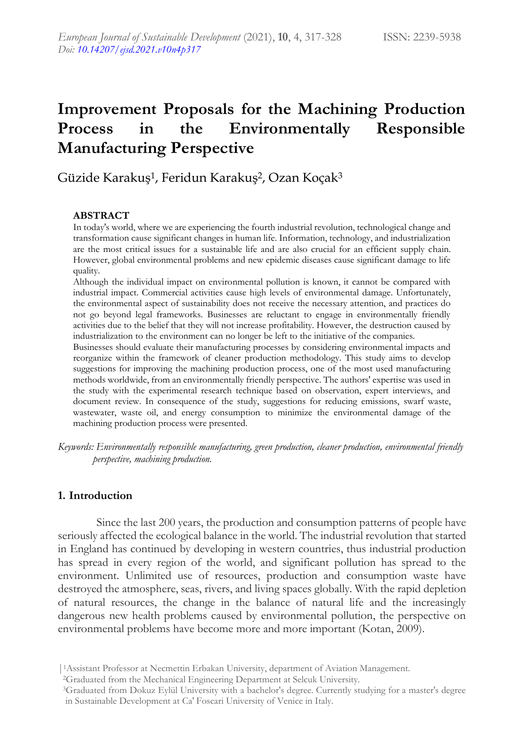# **Improvement Proposals for the Machining Production Process in the Environmentally Responsible Manufacturing Perspective**

# Güzide Karakuş1, Feridun Karakuş2, Ozan Koçak<sup>3</sup>

# **ABSTRACT**

In today's world, where we are experiencing the fourth industrial revolution, technological change and transformation cause significant changes in human life. Information, technology, and industrialization are the most critical issues for a sustainable life and are also crucial for an efficient supply chain. However, global environmental problems and new epidemic diseases cause significant damage to life quality.

Although the individual impact on environmental pollution is known, it cannot be compared with industrial impact. Commercial activities cause high levels of environmental damage. Unfortunately, the environmental aspect of sustainability does not receive the necessary attention, and practices do not go beyond legal frameworks. Businesses are reluctant to engage in environmentally friendly activities due to the belief that they will not increase profitability. However, the destruction caused by industrialization to the environment can no longer be left to the initiative of the companies.

Businesses should evaluate their manufacturing processes by considering environmental impacts and reorganize within the framework of cleaner production methodology. This study aims to develop suggestions for improving the machining production process, one of the most used manufacturing methods worldwide, from an environmentally friendly perspective. The authors' expertise was used in the study with the experimental research technique based on observation, expert interviews, and document review. In consequence of the study, suggestions for reducing emissions, swarf waste, wastewater, waste oil, and energy consumption to minimize the environmental damage of the machining production process were presented.

*Keywords: Environmentally responsible manufacturing, green production, cleaner production, environmental friendly perspective, machining production.*

# **1. Introduction**

Since the last 200 years, the production and consumption patterns of people have seriously affected the ecological balance in the world. The industrial revolution that started in England has continued by developing in western countries, thus industrial production has spread in every region of the world, and significant pollution has spread to the environment. Unlimited use of resources, production and consumption waste have destroyed the atmosphere, seas, rivers, and living spaces globally. With the rapid depletion of natural resources, the change in the balance of natural life and the increasingly dangerous new health problems caused by environmental pollution, the perspective on environmental problems have become more and more important (Kotan, 2009).

<sup>|</sup>1Assistant Professor at Necmettin Erbakan University, department of Aviation Management.

<sup>2</sup>Graduated from the Mechanical Engineering Department at Selcuk University.

<sup>3</sup>Graduated from Dokuz Eylül University with a bachelor's degree. Currently studying for a master's degree in Sustainable Development at Ca' Foscari University of Venice in Italy.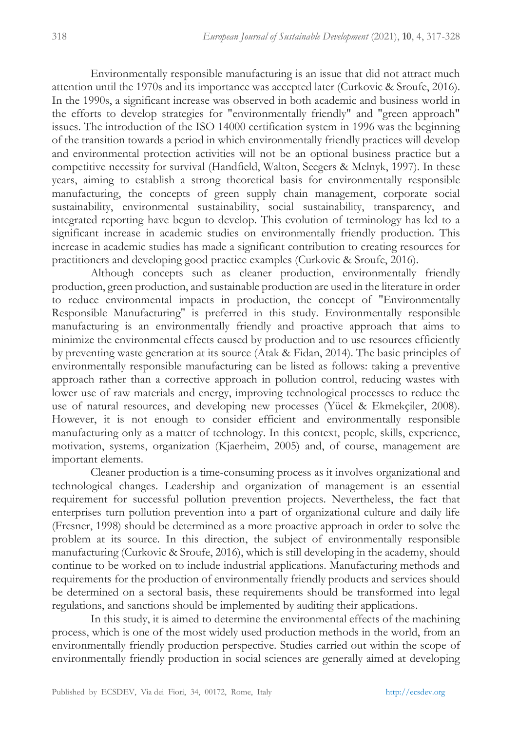Environmentally responsible manufacturing is an issue that did not attract much attention until the 1970s and its importance was accepted later (Curkovic & Sroufe, 2016). In the 1990s, a significant increase was observed in both academic and business world in the efforts to develop strategies for "environmentally friendly" and "green approach" issues. The introduction of the ISO 14000 certification system in 1996 was the beginning of the transition towards a period in which environmentally friendly practices will develop and environmental protection activities will not be an optional business practice but a competitive necessity for survival (Handfield, Walton, Seegers & Melnyk, 1997). In these years, aiming to establish a strong theoretical basis for environmentally responsible manufacturing, the concepts of green supply chain management, corporate social sustainability, environmental sustainability, social sustainability, transparency, and integrated reporting have begun to develop. This evolution of terminology has led to a significant increase in academic studies on environmentally friendly production. This increase in academic studies has made a significant contribution to creating resources for practitioners and developing good practice examples (Curkovic & Sroufe, 2016).

Although concepts such as cleaner production, environmentally friendly production, green production, and sustainable production are used in the literature in order to reduce environmental impacts in production, the concept of "Environmentally Responsible Manufacturing" is preferred in this study. Environmentally responsible manufacturing is an environmentally friendly and proactive approach that aims to minimize the environmental effects caused by production and to use resources efficiently by preventing waste generation at its source (Atak & Fidan, 2014). The basic principles of environmentally responsible manufacturing can be listed as follows: taking a preventive approach rather than a corrective approach in pollution control, reducing wastes with lower use of raw materials and energy, improving technological processes to reduce the use of natural resources, and developing new processes (Yücel & Ekmekçiler, 2008). However, it is not enough to consider efficient and environmentally responsible manufacturing only as a matter of technology. In this context, people, skills, experience, motivation, systems, organization (Kjaerheim, 2005) and, of course, management are important elements.

Cleaner production is a time-consuming process as it involves organizational and technological changes. Leadership and organization of management is an essential requirement for successful pollution prevention projects. Nevertheless, the fact that enterprises turn pollution prevention into a part of organizational culture and daily life (Fresner, 1998) should be determined as a more proactive approach in order to solve the problem at its source. In this direction, the subject of environmentally responsible manufacturing (Curkovic & Sroufe, 2016), which is still developing in the academy, should continue to be worked on to include industrial applications. Manufacturing methods and requirements for the production of environmentally friendly products and services should be determined on a sectoral basis, these requirements should be transformed into legal regulations, and sanctions should be implemented by auditing their applications.

In this study, it is aimed to determine the environmental effects of the machining process, which is one of the most widely used production methods in the world, from an environmentally friendly production perspective. Studies carried out within the scope of environmentally friendly production in social sciences are generally aimed at developing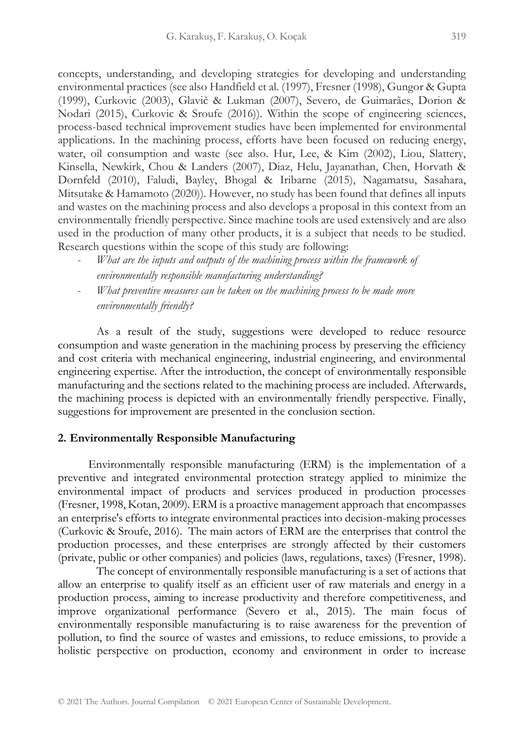concepts, understanding, and developing strategies for developing and understanding environmental practices (see also Handfield et al. (1997), Fresner (1998), Gungor & Gupta (1999), Curkovic (2003), Glavič & Lukman (2007), Severo, de Guimarães, Dorion & Nodari (2015), Curkovic & Sroufe (2016)). Within the scope of engineering sciences, process-based technical improvement studies have been implemented for environmental applications. In the machining process, efforts have been focused on reducing energy, water, oil consumption and waste (see also. Hur, Lee, & Kim (2002), Liou, Slattery, Kinsella, Newkirk, Chou & Landers (2007), Diaz, Helu, Jayanathan, Chen, Horvath & Dornfeld (2010), Faludi, Bayley, Bhogal & Iribarne (2015), Nagamatsu, Sasahara, Mitsutake & Hamamoto (2020)). However, no study has been found that defines all inputs and wastes on the machining process and also develops a proposal in this context from an environmentally friendly perspective. Since machine tools are used extensively and are also used in the production of many other products, it is a subject that needs to be studied. Research questions within the scope of this study are following:

- What are the *inputs and outputs of the machining process within the framework of environmentally responsible manufacturing understanding?*
- *What preventive measures can be taken on the machining process to be made more environmentally friendly?*

As a result of the study, suggestions were developed to reduce resource consumption and waste generation in the machining process by preserving the efficiency and cost criteria with mechanical engineering, industrial engineering, and environmental engineering expertise. After the introduction, the concept of environmentally responsible manufacturing and the sections related to the machining process are included. Afterwards, the machining process is depicted with an environmentally friendly perspective. Finally, suggestions for improvement are presented in the conclusion section.

## **2. Environmentally Responsible Manufacturing**

Environmentally responsible manufacturing (ERM) is the implementation of a preventive and integrated environmental protection strategy applied to minimize the environmental impact of products and services produced in production processes (Fresner, 1998, Kotan, 2009). ERM is a proactive management approach that encompasses an enterprise's efforts to integrate environmental practices into decision-making processes (Curkovic & Sroufe, 2016). The main actors of ERM are the enterprises that control the production processes, and these enterprises are strongly affected by their customers (private, public or other companies) and policies (laws, regulations, taxes) (Fresner, 1998).

The concept of environmentally responsible manufacturing is a set of actions that allow an enterprise to qualify itself as an efficient user of raw materials and energy in a production process, aiming to increase productivity and therefore competitiveness, and improve organizational performance (Severo et al., 2015). The main focus of environmentally responsible manufacturing is to raise awareness for the prevention of pollution, to find the source of wastes and emissions, to reduce emissions, to provide a holistic perspective on production, economy and environment in order to increase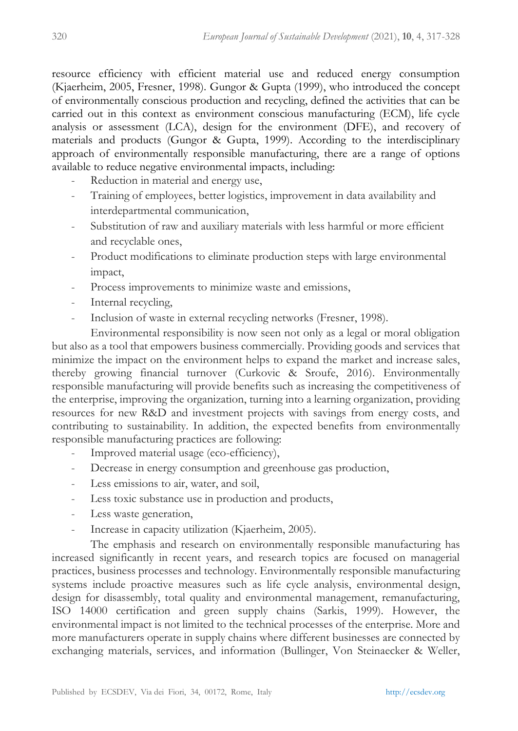resource efficiency with efficient material use and reduced energy consumption (Kjaerheim, 2005, Fresner, 1998). Gungor & Gupta (1999), who introduced the concept of environmentally conscious production and recycling, defined the activities that can be carried out in this context as environment conscious manufacturing (ECM), life cycle analysis or assessment (LCA), design for the environment (DFE), and recovery of materials and products (Gungor & Gupta, 1999). According to the interdisciplinary approach of environmentally responsible manufacturing, there are a range of options available to reduce negative environmental impacts, including:

- Reduction in material and energy use,
- Training of employees, better logistics, improvement in data availability and interdepartmental communication,
- Substitution of raw and auxiliary materials with less harmful or more efficient and recyclable ones,
- Product modifications to eliminate production steps with large environmental impact,
- Process improvements to minimize waste and emissions,
- Internal recycling,
- Inclusion of waste in external recycling networks (Fresner, 1998).

Environmental responsibility is now seen not only as a legal or moral obligation but also as a tool that empowers business commercially. Providing goods and services that minimize the impact on the environment helps to expand the market and increase sales, thereby growing financial turnover (Curkovic & Sroufe, 2016). Environmentally responsible manufacturing will provide benefits such as increasing the competitiveness of the enterprise, improving the organization, turning into a learning organization, providing resources for new R&D and investment projects with savings from energy costs, and contributing to sustainability. In addition, the expected benefits from environmentally responsible manufacturing practices are following:

- Improved material usage (eco-efficiency),
- Decrease in energy consumption and greenhouse gas production,
- Less emissions to air, water, and soil,
- Less toxic substance use in production and products,
- Less waste generation,
- Increase in capacity utilization (Kjaerheim, 2005).

The emphasis and research on environmentally responsible manufacturing has increased significantly in recent years, and research topics are focused on managerial practices, business processes and technology. Environmentally responsible manufacturing systems include proactive measures such as life cycle analysis, environmental design, design for disassembly, total quality and environmental management, remanufacturing, ISO 14000 certification and green supply chains (Sarkis, 1999). However, the environmental impact is not limited to the technical processes of the enterprise. More and more manufacturers operate in supply chains where different businesses are connected by exchanging materials, services, and information (Bullinger, Von Steinaecker & Weller,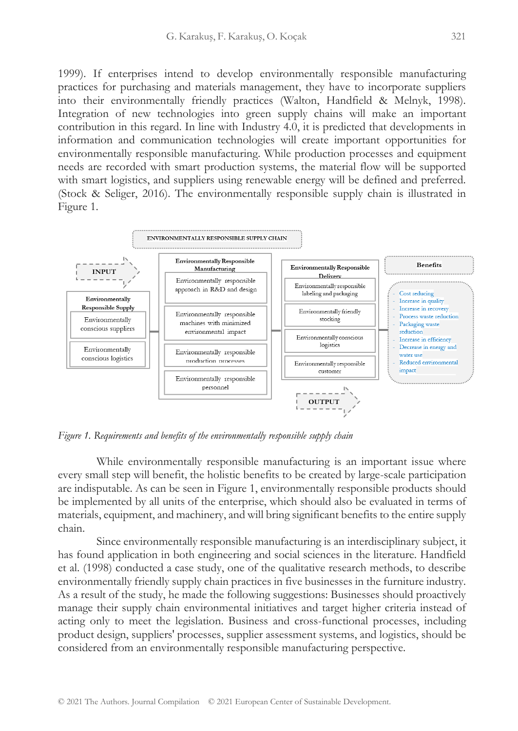1999). If enterprises intend to develop environmentally responsible manufacturing practices for purchasing and materials management, they have to incorporate suppliers into their environmentally friendly practices (Walton, Handfield & Melnyk, 1998). Integration of new technologies into green supply chains will make an important contribution in this regard. In line with Industry 4.0, it is predicted that developments in information and communication technologies will create important opportunities for environmentally responsible manufacturing. While production processes and equipment needs are recorded with smart production systems, the material flow will be supported with smart logistics, and suppliers using renewable energy will be defined and preferred. (Stock & Seliger, 2016). The environmentally responsible supply chain is illustrated in Figure 1.



*Figure 1. Requirements and benefits of the environmentally responsible supply chain*

While environmentally responsible manufacturing is an important issue where every small step will benefit, the holistic benefits to be created by large-scale participation are indisputable. As can be seen in Figure 1, environmentally responsible products should be implemented by all units of the enterprise, which should also be evaluated in terms of materials, equipment, and machinery, and will bring significant benefits to the entire supply chain.

Since environmentally responsible manufacturing is an interdisciplinary subject, it has found application in both engineering and social sciences in the literature. Handfield et al. (1998) conducted a case study, one of the qualitative research methods, to describe environmentally friendly supply chain practices in five businesses in the furniture industry. As a result of the study, he made the following suggestions: Businesses should proactively manage their supply chain environmental initiatives and target higher criteria instead of acting only to meet the legislation. Business and cross-functional processes, including product design, suppliers' processes, supplier assessment systems, and logistics, should be considered from an environmentally responsible manufacturing perspective.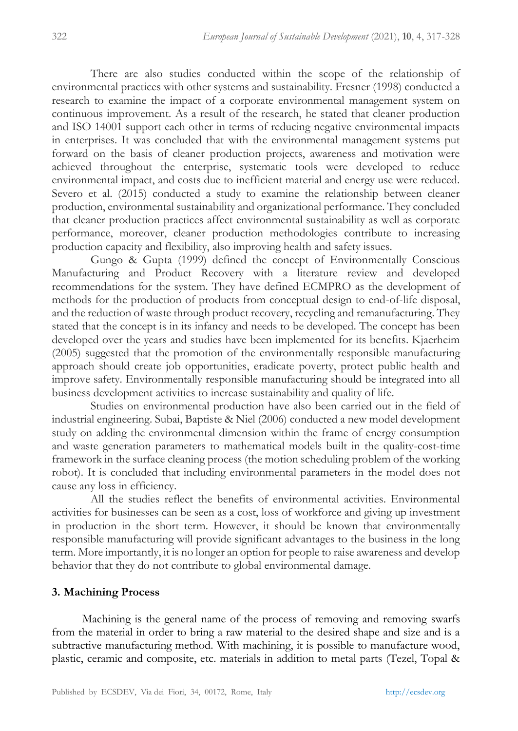There are also studies conducted within the scope of the relationship of environmental practices with other systems and sustainability. Fresner (1998) conducted a research to examine the impact of a corporate environmental management system on continuous improvement. As a result of the research, he stated that cleaner production and ISO 14001 support each other in terms of reducing negative environmental impacts in enterprises. It was concluded that with the environmental management systems put forward on the basis of cleaner production projects, awareness and motivation were achieved throughout the enterprise, systematic tools were developed to reduce environmental impact, and costs due to inefficient material and energy use were reduced. Severo et al. (2015) conducted a study to examine the relationship between cleaner production, environmental sustainability and organizational performance. They concluded that cleaner production practices affect environmental sustainability as well as corporate performance, moreover, cleaner production methodologies contribute to increasing production capacity and flexibility, also improving health and safety issues.

Gungo & Gupta (1999) defined the concept of Environmentally Conscious Manufacturing and Product Recovery with a literature review and developed recommendations for the system. They have defined ECMPRO as the development of methods for the production of products from conceptual design to end-of-life disposal, and the reduction of waste through product recovery, recycling and remanufacturing. They stated that the concept is in its infancy and needs to be developed. The concept has been developed over the years and studies have been implemented for its benefits. Kjaerheim (2005) suggested that the promotion of the environmentally responsible manufacturing approach should create job opportunities, eradicate poverty, protect public health and improve safety. Environmentally responsible manufacturing should be integrated into all business development activities to increase sustainability and quality of life.

Studies on environmental production have also been carried out in the field of industrial engineering. Subai, Baptiste & Niel (2006) conducted a new model development study on adding the environmental dimension within the frame of energy consumption and waste generation parameters to mathematical models built in the quality-cost-time framework in the surface cleaning process (the motion scheduling problem of the working robot). It is concluded that including environmental parameters in the model does not cause any loss in efficiency.

All the studies reflect the benefits of environmental activities. Environmental activities for businesses can be seen as a cost, loss of workforce and giving up investment in production in the short term. However, it should be known that environmentally responsible manufacturing will provide significant advantages to the business in the long term. More importantly, it is no longer an option for people to raise awareness and develop behavior that they do not contribute to global environmental damage.

## **3. Machining Process**

Machining is the general name of the process of removing and removing swarfs from the material in order to bring a raw material to the desired shape and size and is a subtractive manufacturing method. With machining, it is possible to manufacture wood, plastic, ceramic and composite, etc. materials in addition to metal parts (Tezel, Topal &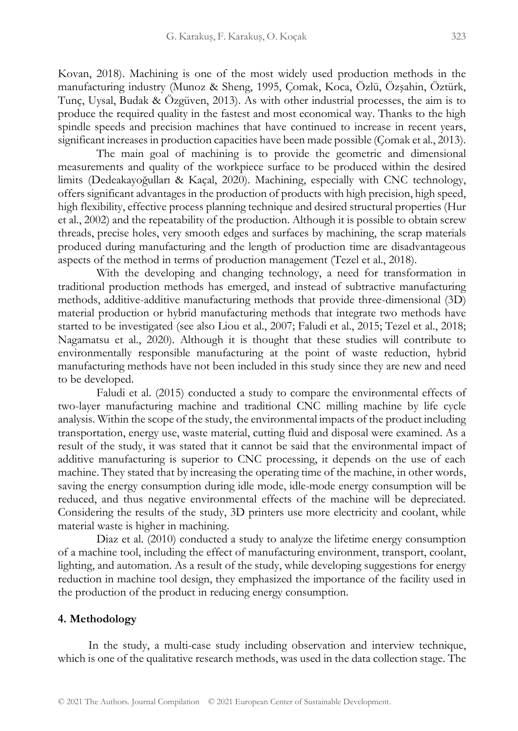Kovan, 2018). Machining is one of the most widely used production methods in the manufacturing industry (Munoz & Sheng, 1995, Çomak, Koca, Özlü, Özşahin, Öztürk, Tunç, Uysal, Budak & Özgüven, 2013). As with other industrial processes, the aim is to produce the required quality in the fastest and most economical way. Thanks to the high spindle speeds and precision machines that have continued to increase in recent years, significant increases in production capacities have been made possible (Comak et al., 2013).

The main goal of machining is to provide the geometric and dimensional measurements and quality of the workpiece surface to be produced within the desired limits (Dedeakayoğulları & Kaçal, 2020). Machining, especially with CNC technology, offers significant advantages in the production of products with high precision, high speed, high flexibility, effective process planning technique and desired structural properties (Hur et al., 2002) and the repeatability of the production. Although it is possible to obtain screw threads, precise holes, very smooth edges and surfaces by machining, the scrap materials produced during manufacturing and the length of production time are disadvantageous aspects of the method in terms of production management (Tezel et al., 2018).

With the developing and changing technology, a need for transformation in traditional production methods has emerged, and instead of subtractive manufacturing methods, additive-additive manufacturing methods that provide three-dimensional (3D) material production or hybrid manufacturing methods that integrate two methods have started to be investigated (see also Liou et al., 2007; Faludi et al., 2015; Tezel et al., 2018; Nagamatsu et al., 2020). Although it is thought that these studies will contribute to environmentally responsible manufacturing at the point of waste reduction, hybrid manufacturing methods have not been included in this study since they are new and need to be developed.

Faludi et al. (2015) conducted a study to compare the environmental effects of two-layer manufacturing machine and traditional CNC milling machine by life cycle analysis. Within the scope of the study, the environmental impacts of the product including transportation, energy use, waste material, cutting fluid and disposal were examined. As a result of the study, it was stated that it cannot be said that the environmental impact of additive manufacturing is superior to CNC processing, it depends on the use of each machine. They stated that by increasing the operating time of the machine, in other words, saving the energy consumption during idle mode, idle-mode energy consumption will be reduced, and thus negative environmental effects of the machine will be depreciated. Considering the results of the study, 3D printers use more electricity and coolant, while material waste is higher in machining.

Diaz et al. (2010) conducted a study to analyze the lifetime energy consumption of a machine tool, including the effect of manufacturing environment, transport, coolant, lighting, and automation. As a result of the study, while developing suggestions for energy reduction in machine tool design, they emphasized the importance of the facility used in the production of the product in reducing energy consumption.

#### **4. Methodology**

In the study, a multi-case study including observation and interview technique, which is one of the qualitative research methods, was used in the data collection stage. The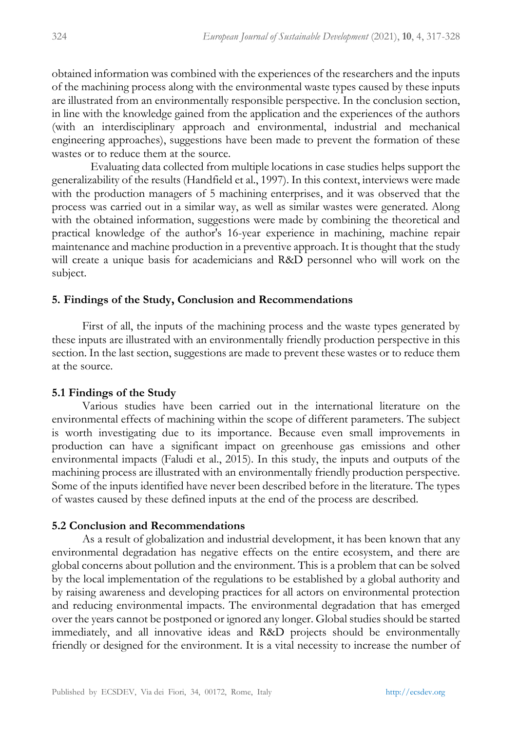obtained information was combined with the experiences of the researchers and the inputs of the machining process along with the environmental waste types caused by these inputs are illustrated from an environmentally responsible perspective. In the conclusion section, in line with the knowledge gained from the application and the experiences of the authors (with an interdisciplinary approach and environmental, industrial and mechanical engineering approaches), suggestions have been made to prevent the formation of these wastes or to reduce them at the source.

Evaluating data collected from multiple locations in case studies helps support the generalizability of the results (Handfield et al., 1997). In this context, interviews were made with the production managers of 5 machining enterprises, and it was observed that the process was carried out in a similar way, as well as similar wastes were generated. Along with the obtained information, suggestions were made by combining the theoretical and practical knowledge of the author's 16-year experience in machining, machine repair maintenance and machine production in a preventive approach. It is thought that the study will create a unique basis for academicians and R&D personnel who will work on the subject.

#### **5. Findings of the Study, Conclusion and Recommendations**

First of all, the inputs of the machining process and the waste types generated by these inputs are illustrated with an environmentally friendly production perspective in this section. In the last section, suggestions are made to prevent these wastes or to reduce them at the source.

#### **5.1 Findings of the Study**

Various studies have been carried out in the international literature on the environmental effects of machining within the scope of different parameters. The subject is worth investigating due to its importance. Because even small improvements in production can have a significant impact on greenhouse gas emissions and other environmental impacts (Faludi et al., 2015). In this study, the inputs and outputs of the machining process are illustrated with an environmentally friendly production perspective. Some of the inputs identified have never been described before in the literature. The types of wastes caused by these defined inputs at the end of the process are described.

#### **5.2 Conclusion and Recommendations**

As a result of globalization and industrial development, it has been known that any environmental degradation has negative effects on the entire ecosystem, and there are global concerns about pollution and the environment. This is a problem that can be solved by the local implementation of the regulations to be established by a global authority and by raising awareness and developing practices for all actors on environmental protection and reducing environmental impacts. The environmental degradation that has emerged over the years cannot be postponed or ignored any longer. Global studies should be started immediately, and all innovative ideas and R&D projects should be environmentally friendly or designed for the environment. It is a vital necessity to increase the number of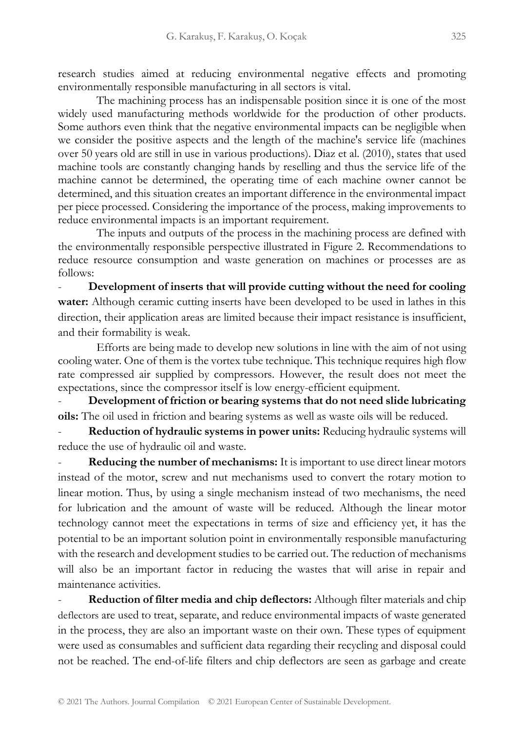research studies aimed at reducing environmental negative effects and promoting environmentally responsible manufacturing in all sectors is vital.

The machining process has an indispensable position since it is one of the most widely used manufacturing methods worldwide for the production of other products. Some authors even think that the negative environmental impacts can be negligible when we consider the positive aspects and the length of the machine's service life (machines over 50 years old are still in use in various productions). Diaz et al. (2010), states that used machine tools are constantly changing hands by reselling and thus the service life of the machine cannot be determined, the operating time of each machine owner cannot be determined, and this situation creates an important difference in the environmental impact per piece processed. Considering the importance of the process, making improvements to reduce environmental impacts is an important requirement.

The inputs and outputs of the process in the machining process are defined with the environmentally responsible perspective illustrated in Figure 2. Recommendations to reduce resource consumption and waste generation on machines or processes are as follows:

- **Development of inserts that will provide cutting without the need for cooling water:** Although ceramic cutting inserts have been developed to be used in lathes in this direction, their application areas are limited because their impact resistance is insufficient, and their formability is weak.

Efforts are being made to develop new solutions in line with the aim of not using cooling water. One of them is the vortex tube technique. This technique requires high flow rate compressed air supplied by compressors. However, the result does not meet the expectations, since the compressor itself is low energy-efficient equipment.

- **Development of friction or bearing systems that do not need slide lubricating oils:** The oil used in friction and bearing systems as well as waste oils will be reduced.

- **Reduction of hydraulic systems in power units:** Reducing hydraulic systems will reduce the use of hydraulic oil and waste.

**Reducing the number of mechanisms:** It is important to use direct linear motors instead of the motor, screw and nut mechanisms used to convert the rotary motion to linear motion. Thus, by using a single mechanism instead of two mechanisms, the need for lubrication and the amount of waste will be reduced. Although the linear motor technology cannot meet the expectations in terms of size and efficiency yet, it has the potential to be an important solution point in environmentally responsible manufacturing with the research and development studies to be carried out. The reduction of mechanisms will also be an important factor in reducing the wastes that will arise in repair and maintenance activities.

- **Reduction of filter media and chip deflectors:** Although filter materials and chip deflectors are used to treat, separate, and reduce environmental impacts of waste generated in the process, they are also an important waste on their own. These types of equipment were used as consumables and sufficient data regarding their recycling and disposal could not be reached. The end-of-life filters and chip deflectors are seen as garbage and create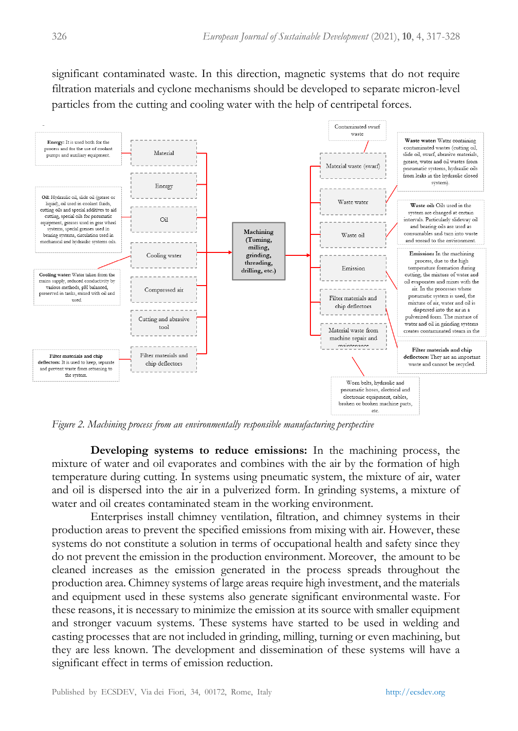significant contaminated waste. In this direction, magnetic systems that do not require filtration materials and cyclone mechanisms should be developed to separate micron-level particles from the cutting and cooling water with the help of centripetal forces.



*Figure 2. Machining process from an environmentally responsible manufacturing perspective*

**Developing systems to reduce emissions:** In the machining process, the mixture of water and oil evaporates and combines with the air by the formation of high temperature during cutting. In systems using pneumatic system, the mixture of air, water and oil is dispersed into the air in a pulverized form. In grinding systems, a mixture of water and oil creates contaminated steam in the working environment.

Enterprises install chimney ventilation, filtration, and chimney systems in their production areas to prevent the specified emissions from mixing with air. However, these systems do not constitute a solution in terms of occupational health and safety since they do not prevent the emission in the production environment. Moreover, the amount to be cleaned increases as the emission generated in the process spreads throughout the production area. Chimney systems of large areas require high investment, and the materials and equipment used in these systems also generate significant environmental waste. For these reasons, it is necessary to minimize the emission at its source with smaller equipment and stronger vacuum systems. These systems have started to be used in welding and casting processes that are not included in grinding, milling, turning or even machining, but they are less known. The development and dissemination of these systems will have a significant effect in terms of emission reduction.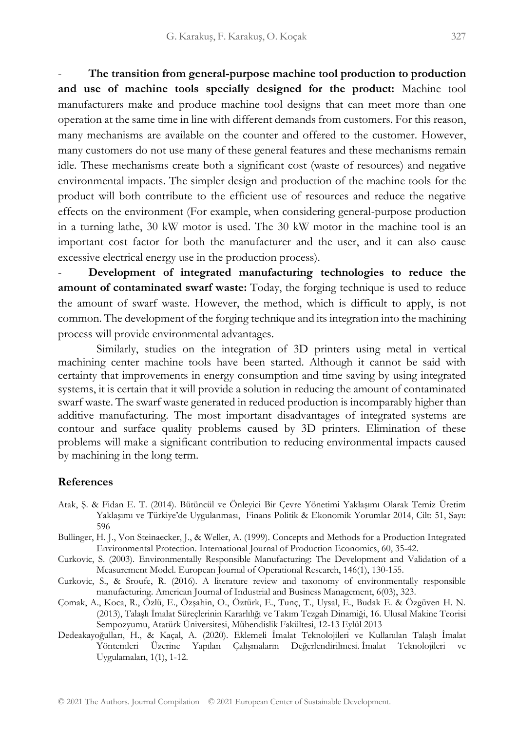- **The transition from general-purpose machine tool production to production and use of machine tools specially designed for the product:** Machine tool manufacturers make and produce machine tool designs that can meet more than one operation at the same time in line with different demands from customers. For this reason, many mechanisms are available on the counter and offered to the customer. However, many customers do not use many of these general features and these mechanisms remain idle. These mechanisms create both a significant cost (waste of resources) and negative environmental impacts. The simpler design and production of the machine tools for the product will both contribute to the efficient use of resources and reduce the negative effects on the environment (For example, when considering general-purpose production in a turning lathe, 30 kW motor is used. The 30 kW motor in the machine tool is an important cost factor for both the manufacturer and the user, and it can also cause excessive electrical energy use in the production process).

- **Development of integrated manufacturing technologies to reduce the amount of contaminated swarf waste:** Today, the forging technique is used to reduce the amount of swarf waste. However, the method, which is difficult to apply, is not common. The development of the forging technique and its integration into the machining process will provide environmental advantages.

Similarly, studies on the integration of 3D printers using metal in vertical machining center machine tools have been started. Although it cannot be said with certainty that improvements in energy consumption and time saving by using integrated systems, it is certain that it will provide a solution in reducing the amount of contaminated swarf waste. The swarf waste generated in reduced production is incomparably higher than additive manufacturing. The most important disadvantages of integrated systems are contour and surface quality problems caused by 3D printers. Elimination of these problems will make a significant contribution to reducing environmental impacts caused by machining in the long term.

#### **References**

- Atak, Ş. & Fidan E. T. (2014). Bütüncül ve Önleyici Bir Çevre Yönetimi Yaklaşımı Olarak Temiz Üretim Yaklaşımı ve Türkiye'de Uygulanması, Finans Politik & Ekonomik Yorumlar 2014, Cilt: 51, Sayı: 596
- Bullinger, H. J., Von Steinaecker, J., & Weller, A. (1999). Concepts and Methods for a Production Integrated Environmental Protection. International Journal of Production Economics, 60, 35-42.
- Curkovic, S. (2003). Environmentally Responsible Manufacturing: The Development and Validation of a Measurement Model. European Journal of Operational Research, 146(1), 130-155.
- Curkovic, S., & Sroufe, R. (2016). A literature review and taxonomy of environmentally responsible manufacturing. American Journal of Industrial and Business Management, 6(03), 323.
- Çomak, A., Koca, R., Özlü, E., Özşahin, O., Öztürk, E., Tunç, T., Uysal, E., Budak E. & Özgüven H. N. (2013), Talaşlı İmalat Süreçlerinin Kararlılığı ve Takım Tezgah Dinamiği, 16. Ulusal Makine Teorisi Sempozyumu, Atatürk Üniversitesi, Mühendislik Fakültesi, 12-13 Eylül 2013
- Dedeakayoğulları, H., & Kaçal, A. (2020). Eklemeli İmalat Teknolojileri ve Kullanılan Talaşlı İmalat Yöntemleri Üzerine Yapılan Çalışmaların Değerlendirilmesi. İmalat Teknolojileri ve Uygulamaları, 1(1), 1-12.